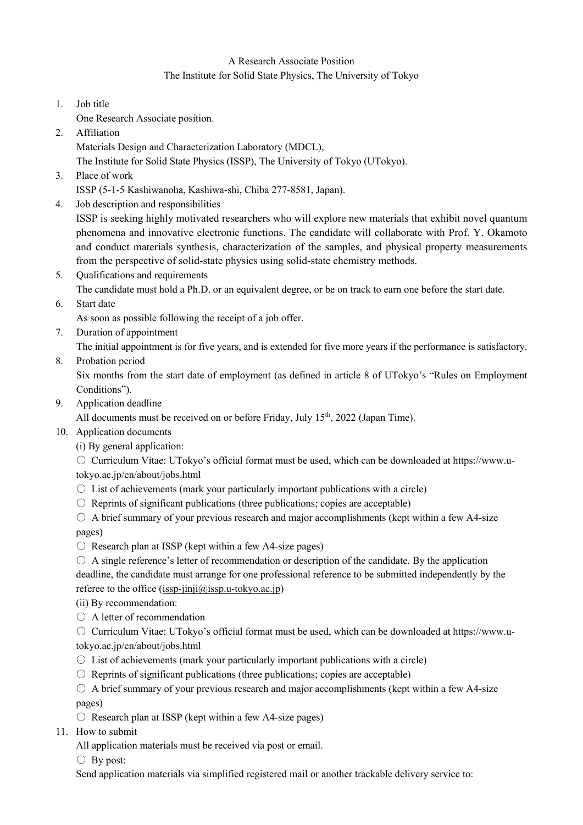## A Research Associate Position

## The Institute for Solid State Physics, The University of Tokyo

- 1. Job title
- One Research Associate position.
- 2. Affiliation

Materials Design and Characterization Laboratory (MDCL),

The Institute for Solid State Physics (ISSP), The University of Tokyo (UTokyo).

3. Place of work

ISSP (5-1-5 Kashiwanoha, Kashiwa-shi, Chiba 277-8581, Japan).

4. Job description and responsibilities

ISSP is seeking highly motivated researchers who will explore new materials that exhibit novel quantum phenomena and innovative electronic functions. The candidate will collaborate with Prof. Y. Okamoto and conduct materials synthesis, characterization of the samples, and physical property measurements from the perspective of solid-state physics using solid-state chemistry methods.

5. Qualifications and requirements

The candidate must hold a Ph.D. or an equivalent degree, or be on track to earn one before the start date.

6. Start date

As soon as possible following the receipt of a job offer.

7. Duration of appointment

The initial appointment is for five years, and is extended for five more years if the performance is satisfactory.

8. Probation period

Six months from the start date of employment (as defined in article 8 of UTokyo's "Rules on Employment Conditions").

9. Application deadline

All documents must be received on or before Friday, July  $15<sup>th</sup>$ , 2022 (Japan Time).

- 10. Application documents
	- (i) By general application:

○ Curriculum Vitae: UTokyo's official format must be used, which can be downloaded at https://www.utokyo.ac.jp/en/about/jobs.html

- $\circ$  List of achievements (mark your particularly important publications with a circle)
- $\circ$  Reprints of significant publications (three publications; copies are acceptable)
- $\circ$  A brief summary of your previous research and major accomplishments (kept within a few A4-size pages)
- $\circ$  Research plan at ISSP (kept within a few A4-size pages)
- $\circ$  A single reference's letter of recommendation or description of the candidate. By the application deadline, the candidate must arrange for one professional reference to be submitted independently by the referee to the office (issp-jinji $(\hat{\omega})$ issp.u-tokyo.ac.jp)
- (ii) By recommendation:
- $\bigcirc$  A letter of recommendation
- Curriculum Vitae: UTokyo's official format must be used, which can be downloaded at https://www.utokyo.ac.jp/en/about/jobs.html
- $\bigcirc$  List of achievements (mark your particularly important publications with a circle)
- $\circ$  Reprints of significant publications (three publications; copies are acceptable)
- $\circ$  A brief summary of your previous research and major accomplishments (kept within a few A4-size pages)
- $\circ$  Research plan at ISSP (kept within a few A4-size pages)
- 11. How to submit

All application materials must be received via post or email.

 $\bigcirc$  By post:

Send application materials via simplified registered mail or another trackable delivery service to: